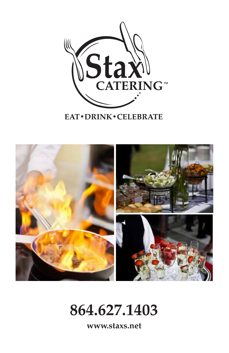

**EAT** · DRINK · CELEBRATE



**864.627.1403**

**www.staxs.net**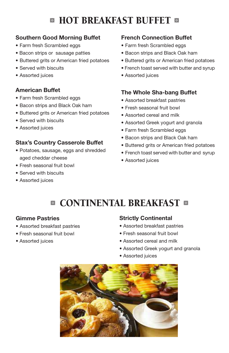# **E HOT BREAKFAST BUFFET &**

## **Southern Good Morning Buffet**

- Farm fresh Scrambled eggs
- Bacon strips or sausage patties
- Buttered grits or American fried potatoes
- Served with biscuits
- Assorted juices

## **American Buffet**

- Farm fresh Scrambled eggs
- Bacon strips and Black Oak ham
- Buttered grits or American fried potatoes
- Served with biscuits
- Assorted juices

## **Stax's Country Casserole Buffet**

- Potatoes, sausage, eggs and shredded aged cheddar cheese
- Fresh seasonal fruit bowl
- Served with biscuits
- Assorted juices

## **French Connection Buffet**

- Farm fresh Scrambled eggs
- Bacon strips and Black Oak ham
- Buttered grits or American fried potatoes
- French toast served with butter and syrup
- Assorted juices

## **The Whole Sha-bang Buffet**

- Assorted breakfast pastries
- Fresh seasonal fruit bowl
- Assorted cereal and milk
- Assorted Greek yogurt and granola
- Farm fresh Scrambled eggs
- Bacon strips and Black Oak ham
- Buttered grits or American fried potatoes
- French toast served with butter and syrup
- Assorted juices

# **<sup>8</sup> CONTINENTAL BREAKFAST 8**

## **Gimme Pastries**

- Assorted breakfast pastries
- Fresh seasonal fruit bowl
- Assorted juices

## **Strictly Continental**

- Assorted breakfast pastries
- Fresh seasonal fruit bowl
- Assorted cereal and milk
- Assorted Greek yogurt and granola
- Assorted juices

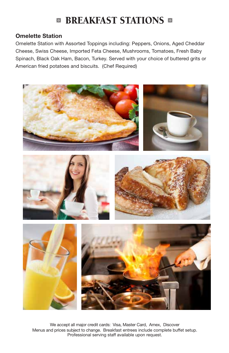## **BREAKFAST STATIONS &**

### **Omelette Station**

Omelette Station with Assorted Toppings including: Peppers, Onions, Aged Cheddar Cheese, Swiss Cheese, Imported Feta Cheese, Mushrooms, Tomatoes, Fresh Baby Spinach, Black Oak Ham, Bacon, Turkey. Served with your choice of buttered grits or American fried potatoes and biscuits. (Chef Required)



We accept all major credit cards: Visa, Master Card, Amex, Discover Menus and prices subject to change. Breakfast entrees include complete buffet setup. Professional serving staff available upon request.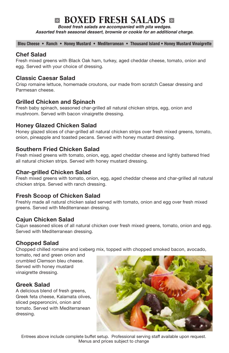## **BOXED FRESH SALADS &**

*Boxed fresh salads are accompanied with pita wedges.* 

*Assorted fresh seasonal dessert, brownie or cookie for an additional charge.* 

**Bleu Cheese • Ranch • Honey Mustard • Mediterranean • Thousand Island • Honey Mustard Vinaigrette**

#### **Chef Salad**

Fresh mixed greens with Black Oak ham, turkey, aged cheddar cheese, tomato, onion and egg. Served with your choice of dressing.

#### **Classic Caesar Salad**

Crisp romaine lettuce, homemade croutons, our made from scratch Caesar dressing and Parmesan cheese.

#### **Grilled Chicken and Spinach**

Fresh baby spinach, seasoned char-grilled all natural chicken strips, egg, onion and mushroom. Served with bacon vinaigrette dressing.

#### **Honey Glazed Chicken Salad**

Honey glazed slices of char-grilled all natural chicken strips over fresh mixed greens, tomato, onion, pineapple and toasted pecans. Served with honey mustard dressing.

#### **Southern Fried Chicken Salad**

Fresh mixed greens with tomato, onion, egg, aged cheddar cheese and lightly battered fried all natural chicken strips. Served with honey mustard dressing.

#### **Char-grilled Chicken Salad**

Fresh mixed greens with tomato, onion, egg, aged cheddar cheese and char-grilled all natural chicken strips. Served with ranch dressing.

#### **Fresh Scoop of Chicken Salad**

Freshly made all natural chicken salad served with tomato, onion and egg over fresh mixed greens. Served with Mediterranean dressing.

#### **Cajun Chicken Salad**

Cajun seasoned slices of all natural chicken over fresh mixed greens, tomato, onion and egg. Served with Mediterranean dressing.

#### **Chopped Salad**

Chopped chilled romaine and iceberg mix, topped with chopped smoked bacon, avocado,

tomato, red and green onion and crumbled Clemson bleu cheese. Served with honey mustard vinaigrette dressing.

#### **Greek Salad**

A delicious blend of fresh greens, Greek feta cheese, Kalamata olives, sliced pepperoncini, onion and tomato. Served with Mediterranean dressing.



Entrees above include complete buffet setup. Professional serving staff available upon request. Menus and prices subject to change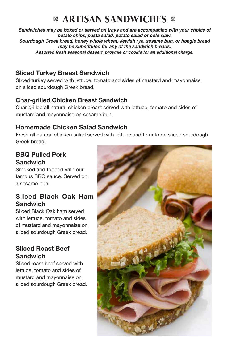## **<b>EXARTISAN SANDWICHES**

*Sandwiches may be boxed or served on trays and are accompanied with your choice of potato chips, pasta salad, potato salad or cole slaw. Sourdough Greek bread, honey whole wheat, Jewish rye, sesame bun, or hoagie bread may be substituted for any of the sandwich breads. Assorted fresh seasonal dessert, brownie or cookie for an additional charge.*

## **Sliced Turkey Breast Sandwich**

Sliced turkey served with lettuce, tomato and sides of mustard and mayonnaise on sliced sourdough Greek bread.

## **Char-grilled Chicken Breast Sandwich**

Char-grilled all natural chicken breast served with lettuce, tomato and sides of mustard and mayonnaise on sesame bun.

## **Homemade Chicken Salad Sandwich**

Fresh all natural chicken salad served with lettuce and tomato on sliced sourdough Greek bread.

## **BBQ Pulled Pork Sandwich**

Smoked and topped with our famous BBQ sauce. Served on a sesame bun.

## **Sliced Black Oak Ham Sandwich**

Sliced Black Oak ham served with lettuce, tomato and sides of mustard and mayonnaise on sliced sourdough Greek bread.

## **Sliced Roast Beef Sandwich**

Sliced roast beef served with lettuce, tomato and sides of mustard and mayonnaise on sliced sourdough Greek bread.

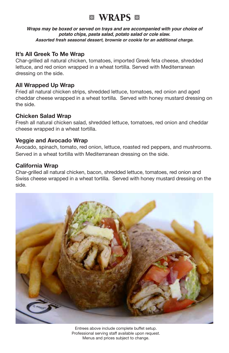## **WRAPS**

*Wraps may be boxed or served on trays and are accompanied with your choice of potato chips, pasta salad, potato salad or cole slaw. Assorted fresh seasonal dessert, brownie or cookie for an additional charge.*

### **It's All Greek To Me Wrap**

Char-grilled all natural chicken, tomatoes, imported Greek feta cheese, shredded lettuce, and red onion wrapped in a wheat tortilla. Served with Mediterranean dressing on the side.

#### **All Wrapped Up Wrap**

Fried all natural chicken strips, shredded lettuce, tomatoes, red onion and aged cheddar cheese wrapped in a wheat tortilla. Served with honey mustard dressing on the side.

#### **Chicken Salad Wrap**

Fresh all natural chicken salad, shredded lettuce, tomatoes, red onion and cheddar cheese wrapped in a wheat tortilla.

#### **Veggie and Avocado Wrap**

Avocado, spinach, tomato, red onion, lettuce, roasted red peppers, and mushrooms. Served in a wheat tortilla with Mediterranean dressing on the side.

#### **California Wrap**

Char-grilled all natural chicken, bacon, shredded lettuce, tomatoes, red onion and Swiss cheese wrapped in a wheat tortilla. Served with honey mustard dressing on the side.



Entrees above include complete buffet setup. Professional serving staff available upon request. Menus and prices subject to change.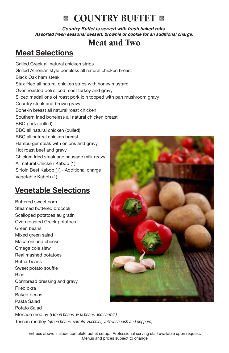## **8 COUNTRY BUFFET 8**

*Country Buffet is served with fresh baked rolls. Assorted fresh seasonal dessert, brownie or cookie for an additional charge.*

## Meat and Two

## **Meat Selections**

Grilled Greek all natural chicken strips Grilled Athenian style boneless all natural chicken breast Black Oak ham steak Stax fried all natural chicken strips with honey mustard Oven roasted deli sliced roast turkey and gravy Sliced medallions of roast pork loin topped with pan mushroom gravy Country steak and brown gravy Bone-in breast all natural roast chicken Southern fried boneless all natural chicken breast BBQ pork (pulled) BBQ all natural chicken (pulled) BBQ all natural chicken breast Hamburger steak with onions and gravy Hot roast beef and gravy Chicken fried steak and sausage milk gravy All natural Chicken Kabob (1) Sirloin Beef Kabob (1) - Additional charge Vegetable Kabob (1)

## **Vegetable Selections**

Buttered sweet corn Steamed buttered broccoli Scalloped potatoes au gratin Oven roasted Greek potatoes Green beans Mixed green salad Macaroni and cheese Omega cole slaw Real mashed potatoes Butter beans Sweet potato souffle Rice Cornbread dressing and gravy Fried okra Baked beans Pasta Salad Potato Salad Monaco medley *(Green beans, wax beans and carrots)* Tuscan medley *(green beans, carrots, zucchini, yellow squash and peppers)*



Entrees above include complete buffet setup. Professional serving staff available upon request. Menus and prices subject to change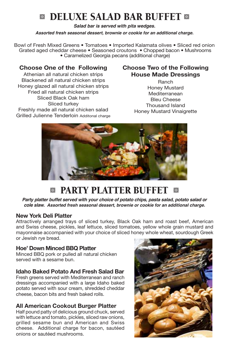## **B DELUXE SALAD BAR BUFFET &**

*Salad bar is served with pita wedges.*

*Assorted fresh seasonal dessert, brownie or cookie for an additional charge.*

Bowl of Fresh Mixed Greens • Tomatoes • Imported Kalamata olives • Sliced red onion Grated aged cheddar cheese • Seasoned croutons • Chopped bacon • Mushrooms • Caramelized Georgia pecans (additional charge)

### **Choose One of the Following**

Athenian all natural chicken strips Blackened all natural chicken strips Honey glazed all natural chicken strips Fried all natural chicken strips Sliced Black Oak ham Sliced turkey Freshly made all natural chicken salad Grilled Julienne Tenderloin Additonal charge

## **Choose Two of the Following House Made Dressings**

Ranch Honey Mustard Mediterranean Bleu Cheese Thousand Island Honey Mustard Vinaigrette



## $\blacksquare$  **PARTY PLATTER BUFFET**  $\blacksquare$

*Party platter buffet served with your choice of potato chips, pasta salad, potato salad or cole slaw. Assorted fresh seasonal dessert, brownie or cookie for an additional charge.*

#### **New York Deli Platter**

Attractively arranged trays of sliced turkey, Black Oak ham and roast beef, American and Swiss cheese, pickles, leaf lettuce, sliced tomatoes, yellow whole grain mustard and mayonnaise accompanied with your choice of sliced honey whole wheat, sourdough Greek or Jewish rye bread.

#### **Hoe' Down Minced BBQ Platter**

Minced BBQ pork or pulled all natural chicken served with a sesame bun.

#### **Idaho Baked Potato And Fresh Salad Bar**

Fresh greens served with Mediterranean and ranch dressings accompanied with a large Idaho baked potato served with sour cream, shredded cheddar cheese, bacon bits and fresh baked rolls.

#### **All American Cookout Burger Platter**

Half pound patty of delicious ground chuck, served with lettuce and tomato, pickles, sliced raw onions, grilled sesame bun and American and Swiss cheese. Additional charge for bacon, sautéed onions or sautéed mushrooms.

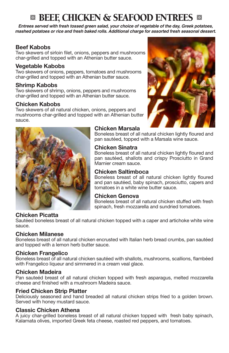## **& BEEF, CHICKEN & SEAFOOD ENTREES &**

*Entrees served with fresh tossed green salad, your choice of vegetable of the day, Greek potatoes, mashed potatoes or rice and fresh baked rolls. Additional charge for assorted fresh seasonal dessert.*

#### **Beef Kabobs**

Two skewers of sirloin filet, onions, peppers and mushrooms char-grilled and topped with an Athenian butter sauce.

#### **Vegetable Kabobs**

Two skewers of onions, peppers, tomatoes and mushrooms char-grilled and topped with an Athenian butter sauce.

#### **Shrimp Kabobs**

Two skewers of shrimp, onions, peppers and mushrooms char-grilled and topped with an Athenian butter sauce.

#### **Chicken Kabobs**

Two skewers of all natural chicken, onions, peppers and mushrooms char-grilled and topped with an Athenian butter sauce.



#### **Chicken Marsala**

Boneless breast of all natural chicken lightly floured and pan sautéed, topped with a Marsala wine sauce.

#### **Chicken Sinatra**

Boneless breast of all natural chicken lightly floured and pan sautéed, shallots and crispy Prosciutto in Grand Marnier cream sauce.

#### **Chicken Saltimboca**

Boneless breast of all natural chicken lightly floured and pan sautéed, baby spinach, prosciutto, capers and tomatoes in a white wine butter sauce.

#### **Chicken Genova**

Boneless breast of all natural chicken stuffed with fresh spinach, fresh mozzarella and sundried tomatoes.

#### **Chicken Picatta**

Sautéed boneless breast of all natural chicken topped with a caper and artichoke white wine sauce.

#### **Chicken Milanese**

Boneless breast of all natural chicken encrusted with Italian herb bread crumbs, pan sautéed and topped with a lemon herb butter sauce.

#### **Chicken Frangelico**

Boneless breast of all natural chicken sautéed with shallots, mushrooms, scallions, flambéed with Frangelico liqueur and simmered in a cream veal glace.

#### **Chicken Madeira**

Pan sauteéd breast of all natural chicken topped with fresh asparagus, melted mozzarella cheese and finished with a mushroom Madeira sauce.

#### **Fried Chicken Strip Platter**

Deliciously seasoned and hand breaded all natural chicken strips fried to a golden brown. Served with honey mustard sauce.

#### **Classic Chicken Athena**

A juicy char-grilled boneless breast of all natural chicken topped with fresh baby spinach, Kalamata olives, imported Greek feta cheese, roasted red peppers, and tomatoes.

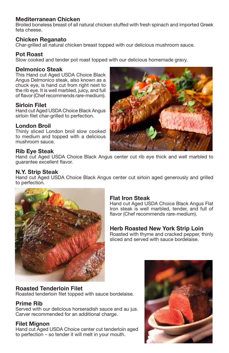#### **Mediterranean Chicken**

Broiled boneless breast of all natural chicken stuffed with fresh spinach and imported Greek feta cheese.

#### **Chicken Reganato**

Char-grilled all natural chicken breast topped with our delicious mushroom sauce.

#### **Pot Roast**

Slow cooked and tender pot roast topped with our delicious homemade gravy.

#### **Delmonico Steak**

This Hand cut Aged USDA Choice Black Angus Delmonico steak, also known as a chuck eye, is hand cut from right next to the rib eye. It is well marbled, juicy, and full of flavor (Chef recommends rare-medium).

#### **Sirloin Filet**

Hand cut Aged USDA Choice Black Angus sirloin filet char-grilled to perfection.

#### **London Broil**

Thinly sliced London broil slow cooked to medium and topped with a delicious mushroom sauce.

#### **Rib Eye Steak**

Hand cut Aged USDA Choice Black Angus center cut rib eye thick and well marbled to guarantee excellent flavor.

#### **N.Y. Strip Steak**

Hand cut Aged USDA Choice Black Angus center cut sirloin aged generously and grilled to perfection.



#### **Flat Iron Steak**

Hand cut Aged USDA Choice Black Angus Flat Iron steak is well marbled, tender, and full of flavor (Chef recommends rare-medium).

#### **Herb Roasted New York Strip Loin**

Roasted with thyme and cracked pepper, thinly sliced and served with sauce bordelaise.

#### **Roasted Tenderloin Filet**

Roasted tenderloin filet topped with sauce bordelaise.

#### **Prime Rib**

Served with our delicious horseradish sauce and au jus. Carver recommended for an additional charge.

#### **Filet Mignon**

Hand cut Aged USDA Choice center cut tenderloin aged to perfection – so tender it will melt in your mouth.



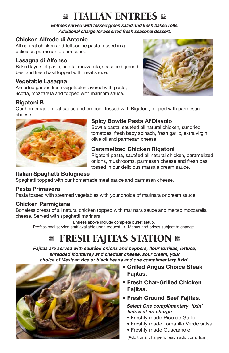## **B** ITALIAN ENTREES **B**

*Entrees served with tossed green salad and fresh baked rolls. Additional charge for assorted fresh seasonal dessert.*

### **Chicken Alfredo di Antonio**

All natural chicken and fettuccine pasta tossed in a delicious parmesan cream sauce.

### **Lasagna di Alfonso**

Baked layers of pasta, ricotta, mozzarella, seasoned ground beef and fresh basil topped with meat sauce.

### **Vegetable Lasagna**

Assorted garden fresh vegetables layered with pasta, ricotta, mozzarella and topped with marinara sauce.

### **Rigatoni B**



Our homemade meat sauce and broccoli tossed with Rigatoni, topped with parmesan cheese.



### **Spicy Bowtie Pasta Al'Diavolo**

Bowtie pasta, sautéed all natural chicken, sundried tomatoes, fresh baby spinach, fresh garlic, extra virgin olive oil and parmesan cheese.

### **Caramelized Chicken Rigatoni**

Rigatoni pasta, sautéed all natural chicken, caramelized onions, mushrooms, parmesan cheese and fresh basil tossed in our delicious marsala cream sauce.

### **Italian Spaghetti Bolognese**

Spaghetti topped with our homemade meat sauce and parmesan cheese.

### **Pasta Primavera**

Pasta tossed with steamed vegetables with your choice of marinara or cream sauce.

### **Chicken Parmigiana**

Boneless breast of all natural chicken topped with marinara sauce and melted mozzarella cheese. Served with spaghetti marinara.

Entrees above include complete buffet setup. Professional serving staff available upon request. • Menus and prices subject to change.

# **EXECUTE FRESH FAJITAS STATION &**

**Fajitas are served with sautéed onions and peppers, flour tortillas, lettuce,**  *shredded Monterrey and cheddar cheese, sour cream, your*  **choice of Mexican rice or black beans and one complimentary fixin'.**



- **• Grilled Angus Choice Steak Fajitas.**
- **• Fresh Char-Grilled Chicken Fajitas.**
- **• Fresh Ground Beef Fajitas. Select One complimentary fixin'**  *below at no charge.*
	- Freshly made Pico de Gallo
	- Freshly made Tomatillo Verde salsa
	- Freshly made Guacamole

(Additional charge for each additional fixin')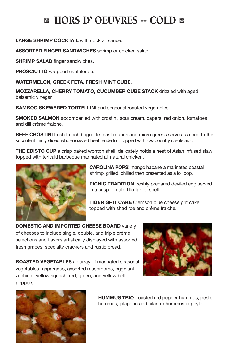# **E HORS D' OEUVRES -- COLD E**

#### **LARGE SHRIMP COCKTAIL** with cocktail sauce.

**ASSORTED FINGER SANDWICHES** shrimp or chicken salad.

**SHRIMP SALAD** finger sandwiches.

**PROSCIUTTO** wrapped cantaloupe.

**WATERMELON, GREEK FETA, FRESH MINT CUBE**.

**MOZZARELLA, CHERRY TOMATO, CUCUMBER CUBE STACK** drizzled with aged balsamic vinegar.

**BAMBOO SKEWERED TORTELLINI** and seasonal roasted vegetables.

**SMOKED SALMON** accompanied with crostini, sour cream, capers, red onion, tomatoes and dill crème fraiche.

**BEEF CROSTINI** fresh french baguette toast rounds and micro greens serve as a bed to the succulent thinly sliced whole roasted beef tenderloin topped with low country creole aioli.

**THE EDISTO CUP** a crisp baked wonton shell, delicately holds a nest of Asian infused slaw topped with teriyaki barbeque marinated all natural chicken.



**CAROLINA POPS!** mango habanera marinated coastal shrimp, grilled, chilled then presented as a lollipop.

**PICNIC TRADITION** freshly prepared deviled egg served in a crisp tomato fillo tartlet shell.

**TIGER GRIT CAKE** Clemson blue cheese grit cake topped with shad roe and créme fraiche.

**DOMESTIC AND IMPORTED CHEESE BOARD** variety of cheeses to include single, double, and triple créme selections and flavors artistically displayed with assorted fresh grapes, specialty crackers and rustic bread.



**ROASTED VEGETABLES** an array of marinated seasonal vegetables- asparagus, assorted mushrooms, eggplant, zuchinni, yellow squash, red, green, and yellow bell peppers.



**HUMMUS TRIO** roasted red pepper hummus, pesto hummus, jalapeno and cilantro hummus in phyllo.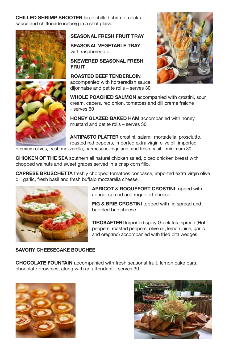**CHILLED SHRIMP SHOOTER** large chilled shrimp, cocktail sauce and chiffonade iceberg in a shot glass.





#### **SEASONAL FRESH FRUIT TRAY**

**SEASONAL VEGETABLE TRAY**  with raspberry dip.

#### **SKEWERED SEASONAL FRESH FRUIT**

**ROASTED BEEF TENDERLOIN** accompanied with horseradish sauce, dijonnaise and petite rolls – serves 30



**WHOLE POACHED SALMON** accompanied with crostini, sour cream, capers, red onion, tomatoes and dill crème fraiche – - serves 60

**HONEY GLAZED BAKED HAM** accompanied with honey mustard and petite rolls – serves 30

**ANTIPASTO PLATTER** crostini, salami, mortadella, prosciutto, roasted red peppers, imported extra virgin olive oil, imported

premium olives, fresh mozzarella, parmesano-reggiano, and fresh basil – minimum 30

**CHICKEN OF THE SEA** southern all natural chicken salad, diced chicken breast with chopped walnuts and sweet grapes served in a crisp corn fillo.

**CAPRESE BRUSCHETTA** freshly chopped tomatoes concasse, imported extra virgin olive oil, garlic, fresh basil and fresh buffalo mozzarella cheese.



**APRICOT & ROQUEFORT CROSTINI** topped with apricot spread and roquefort cheese.

**FIG & BRIE CROSTINI** topped with fig spread and bubbled brie cheese.

**TIROKAFTERI** Imported spicy Greek feta spread (Hot peppers, roasted peppers, olive oil, lemon juice, garlic and oregano) accompanied with fried pita wedges.

#### **SAVORY CHEESECAKE BOUCHEE**

**CHOCOLATE FOUNTAIN** accompanied with fresh seasonal fruit, lemon cake bars, chocolate brownies, along with an attendant – serves 30



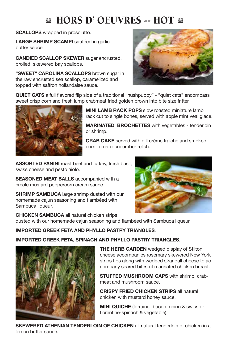# **MILDER D'OEUVRES -- HOT MILDER**

**SCALLOPS** wrapped in prosciutto.

LARGE SHRIMP SCAMPI sautéed in garlic butter sauce.

**CANDIED SCALLOP SKEWER** sugar encrusted, broiled, skewered bay scallops.

**"SWEET" CAROLINA SCALLOPS** brown sugar in the raw encrusted sea scallop, caramelized and topped with saffron hollandaise sauce.



**QUIET CATS** a full flavored flip side of a traditional "hushpuppy" - "quiet cats" encompass sweet crisp corn and fresh lump crabmeat fried golden brown into bite size fritter.



**MINI LAMB RACK POPS** slow roasted miniature lamb rack cut to single bones, served with apple mint veal glace.

**MARINATED BROCHETTES** with vegetables - tenderloin or shrimp.

**CRAB CAKE** served with dill crème fraiche and smoked corn-tomato-cucumber relish.

**ASSORTED PANINI** roast beef and turkey, fresh basil, swiss cheese and pesto aiolo.

**SEASONED MEAT BALLS** accompanied with a creole mustard peppercorn cream sauce.

**SHRIMP SAMBUCA** large shrimp dusted with our homemade cajun seasoning and flambéed with Sambuca liqueur.



**CHICKEN SAMBUCA** all natural chicken strips dusted with our homemade cajun seasoning and flambéed with Sambuca liqueur.

#### **IMPORTED GREEK FETA AND PHYLLO PASTRY TRIANGLES**.

#### **IMPORTED GREEK FETA, SPINACH AND PHYLLO PASTRY TRIANGLES**.



**THE HERB GARDEN** wedged display of Stilton cheese accompanies rosemary skewered New York strips tips along with wedged Crandall cheese to accompany seared bites of marinated chicken breast.

**STUFFED MUSHROOM CAPS** with shrimp, crabmeat and mushroom sauce.

**CRISPY FRIED CHICKEN STRIPS** all natural chicken with mustard honey sauce.

**MINI QUICHE** (lorraine- bacon, onion & swiss or florentine-spinach & vegetable).

**SKEWERED ATHENIAN TENDERLOIN OF CHICKEN** all natural tenderloin of chicken in a lemon butter sauce.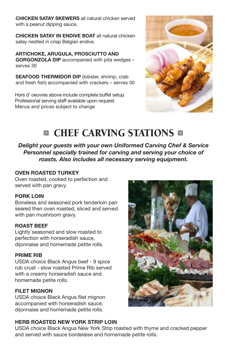**CHICKEN SATAY SKEWERS** all natural chicken served with a peanut dipping sauce.

**CHICKEN SATAY IN ENDIVE BOAT** all natural chicken satay nestled in crisp Belgian endive.

**ARTICHOKE, ARUGULA, PROSCIUTTO AND GORGONZOLA DIP** accompanied with pita wedges – serves 30

**SEAFOOD THERMIDOR DIP** (lobster, shrimp, crab and fresh fish) accompanied with crackers – serves 30

Hors d' oeuvres above include complete buffet setup. Professional serving staff available upon request. Menus and prices subject to change



# **<sup>8</sup>** CHEF CARVING STATIONS **8**

*Delight your guests with your own Uniformed Carving Chef & Service Personnel specially trained for carving and serving your choice of roasts. Also includes all necessary serving equipment.*

#### **OVEN ROASTED TURKEY**

Oven roasted, cooked to perfection and served with pan gravy.

#### **PORK LOIN**

Boneless and seasoned pork tenderloin pan seared then oven roasted, sliced and served with pan mushroom gravy.

#### **ROAST BEEF**

Lightly seasoned and slow roasted to perfection with horseradish sauce, dijonnaise and homemade petite rolls.

#### **PRIME RIB**

USDA choice Black Angus beef - 9 spice rub crust - slow roasted Prime Rib served with a creamy horseradish sauce and homemade petite rolls.

#### **FILET MIGNON**

USDA choice Black Angus filet mignon accompanied with horseradish sauce, dijonnaise and homemade petite rolls.

#### **HERB ROASTED NEW YORK STRIP LOIN**

USDA choice Black Angus New York Strip roasted with thyme and cracked pepper and served with sauce bordelaise and homemade petite rolls.